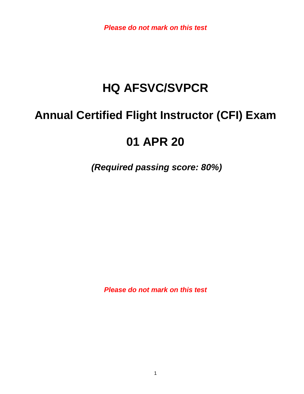*Please do not mark on this test*

# **HQ AFSVC/SVPCR**

# **Annual Certified Flight Instructor (CFI) Exam**

# **01 APR 20**

*(Required passing score: 80%)*

*Please do not mark on this test*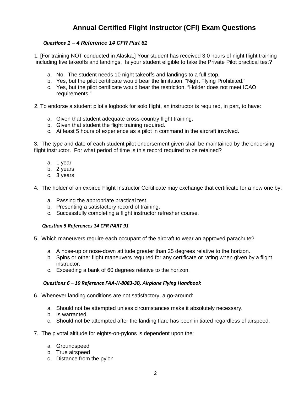# **Annual Certified Flight Instructor (CFI) Exam Questions**

#### *Questions 1 – 4 Reference 14 CFR Part 61*

 1. [For training NOT conducted in Alaska.] Your student has received 3.0 hours of night flight training including five takeoffs and landings. Is your student eligible to take the Private Pilot practical test?

- a. No. The student needs 10 night takeoffs and landings to a full stop.
- b. Yes, but the pilot certificate would bear the limitation, "Night Flying Prohibited."
- c. Yes, but the pilot certificate would bear the restriction, "Holder does not meet ICAO requirements."
- 2. To endorse a student pilot's logbook for solo flight, an instructor is required, in part, to have:
	- a. Given that student adequate cross-country flight training.
	- b. Given that student the flight training required.
	- c. At least 5 hours of experience as a pilot in command in the aircraft involved.

3. The type and date of each student pilot endorsement given shall be maintained by the endorsing flight instructor. For what period of time is this record required to be retained?

- a. 1 year
- b. 2 years
- c. 3 years
- 4. The holder of an expired Flight Instructor Certificate may exchange that certificate for a new one by:
	- a. Passing the appropriate practical test.
	- b. Presenting a satisfactory record of training.
	- c. Successfully completing a flight instructor refresher course.

#### *Question 5 References 14 CFR PART 91*

- 5. Which maneuvers require each occupant of the aircraft to wear an approved parachute?
	- a. A nose-up or nose-down attitude greater than 25 degrees relative to the horizon.
	- b. Spins or other flight maneuvers required for any certificate or rating when given by a flight instructor.
	- c. Exceeding a bank of 60 degrees relative to the horizon.

#### *Questions 6 – 10 Reference FAA-H-8083-3B, Airplane Flying Handbook*

- 6. Whenever landing conditions are not satisfactory, a go-around:
	- a. Should not be attempted unless circumstances make it absolutely necessary.
	- b. Is warranted.
	- c. Should not be attempted after the landing flare has been initiated regardless of airspeed.
- 7. The pivotal altitude for eights-on-pylons is dependent upon the:
	- a. Groundspeed
	- b. True airspeed
	- c. Distance from the pylon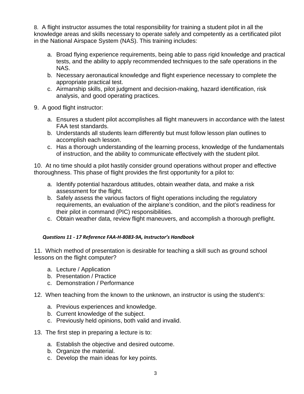8. A flight instructor assumes the total responsibility for training a student pilot in all the knowledge areas and skills necessary to operate safely and competently as a certificated pilot in the National Airspace System (NAS). This training includes:

- a. Broad flying experience requirements, being able to pass rigid knowledge and practical tests, and the ability to apply recommended techniques to the safe operations in the NAS.
- b. Necessary aeronautical knowledge and flight experience necessary to complete the appropriate practical test.
- c. Airmanship skills, pilot judgment and decision-making, hazard identification, risk analysis, and good operating practices.
- 9. A good flight instructor:
	- a. Ensures a student pilot accomplishes all flight maneuvers in accordance with the latest FAA test standards.
	- b. Understands all students learn differently but must follow lesson plan outlines to accomplish each lesson.
	- c. Has a thorough understanding of the learning process, knowledge of the fundamentals of instruction, and the ability to communicate effectively with the student pilot.

10. At no time should a pilot hastily consider ground operations without proper and effective thoroughness. This phase of flight provides the first opportunity for a pilot to:

- a. Identify potential hazardous attitudes, obtain weather data, and make a risk assessment for the flight.
- b. Safely assess the various factors of flight operations including the regulatory requirements, an evaluation of the airplane's condition, and the pilot's readiness for their pilot in command (PIC) responsibilities.
- c. Obtain weather data, review flight maneuvers, and accomplish a thorough preflight.

## *Questions 11 - 17 Reference FAA-H-8083-9A, Instructor's Handbook*

11. Which method of presentation is desirable for teaching a skill such as ground school lessons on the flight computer?

- a. Lecture / Application
- b. Presentation / Practice
- c. Demonstration / Performance
- 12. When teaching from the known to the unknown, an instructor is using the student's:
	- a. Previous experiences and knowledge.
	- b. Current knowledge of the subject.
	- c. Previously held opinions, both valid and invalid.
- 13. The first step in preparing a lecture is to:
	- a. Establish the objective and desired outcome.
	- b. Organize the material.
	- c. Develop the main ideas for key points.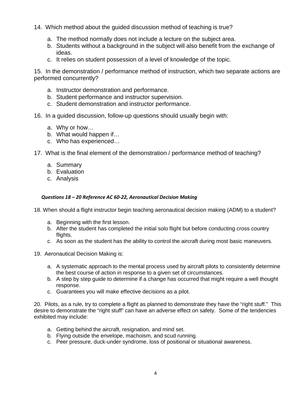- 14. Which method about the guided discussion method of teaching is true?
	- a. The method normally does not include a lecture on the subject area.
	- b. Students without a background in the subject will also benefit from the exchange of ideas.
	- c. It relies on student possession of a level of knowledge of the topic.

15. In the demonstration / performance method of instruction, which two separate actions are performed concurrently?

- a. Instructor demonstration and performance.
- b. Student performance and instructor supervision.
- c. Student demonstration and instructor performance.
- 16. In a guided discussion, follow-up questions should usually begin with:
	- a. Why or how…
	- b. What would happen if…
	- c. Who has experienced…
- 17. What is the final element of the demonstration / performance method of teaching?
	- a. Summary
	- b. Evaluation
	- c. Analysis

### *Questions 18 – 20 Reference AC 60-22, Aeronautical Decision Making*

18. When should a flight instructor begin teaching aeronautical decision making (ADM) to a student?

- a. Beginning with the first lesson.
- b. After the student has completed the initial solo flight but before conducting cross country flights.
- c. As soon as the student has the ability to control the aircraft during most basic maneuvers.
- 19. Aeronautical Decision Making is:
	- a. A systematic approach to the mental process used by aircraft pilots to consistently determine the best course of action in response to a given set of circumstances.
	- b. A step by step guide to determine if a change has occurred that might require a well thought response.
	- c. Guarantees you will make effective decisions as a pilot.

20. Pilots, as a rule, try to complete a flight as planned to demonstrate they have the "right stuff." This desire to demonstrate the "right stuff" can have an adverse effect on safety. Some of the tendencies exhibited may include:

- a. Getting behind the aircraft, resignation, and mind set.
- b. Flying outside the envelope, machoism, and scud running.
- c. Peer pressure, duck-under syndrome, loss of positional or situational awareness.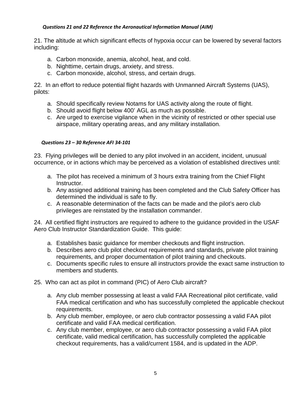### *Questions 21 and 22 Reference the Aeronautical Information Manual (AIM)*

21. The altitude at which significant effects of hypoxia occur can be lowered by several factors including:

- a. Carbon monoxide, anemia, alcohol, heat, and cold.
- b. Nighttime, certain drugs, anxiety, and stress.
- c. Carbon monoxide, alcohol, stress, and certain drugs.

22. In an effort to reduce potential flight hazards with Unmanned Aircraft Systems (UAS), pilots:

- a. Should specifically review Notams for UAS activity along the route of flight.
- b. Should avoid flight below 400' AGL as much as possible.
- c. Are urged to exercise vigilance when in the vicinity of restricted or other special use airspace, military operating areas, and any military installation.

#### *Questions 23 – 30 Reference AFI 34-101*

23. Flying privileges will be denied to any pilot involved in an accident, incident, unusual occurrence, or in actions which may be perceived as a violation of established directives until:

- a. The pilot has received a minimum of 3 hours extra training from the Chief Flight Instructor.
- b. Any assigned additional training has been completed and the Club Safety Officer has determined the individual is safe to fly.
- c. A reasonable determination of the facts can be made and the pilot's aero club privileges are reinstated by the installation commander.

24. All certified flight instructors are required to adhere to the guidance provided in the USAF Aero Club Instructor Standardization Guide. This guide:

- a. Establishes basic guidance for member checkouts and flight instruction.
- b. Describes aero club pilot checkout requirements and standards, private pilot training requirements, and proper documentation of pilot training and checkouts.
- c. Documents specific rules to ensure all instructors provide the exact same instruction to members and students.
- 25. Who can act as pilot in command (PIC) of Aero Club aircraft?
	- a. Any club member possessing at least a valid FAA Recreational pilot certificate, valid FAA medical certification and who has successfully completed the applicable checkout requirements.
	- b. Any club member, employee, or aero club contractor possessing a valid FAA pilot certificate and valid FAA medical certification.
	- c. Any club member, employee, or aero club contractor possessing a valid FAA pilot certificate, valid medical certification, has successfully completed the applicable checkout requirements, has a valid/current 1584, and is updated in the ADP.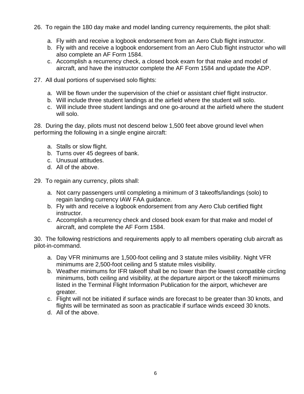- 26. To regain the 180 day make and model landing currency requirements, the pilot shall:
	- a. Fly with and receive a logbook endorsement from an Aero Club flight instructor.
	- b. Fly with and receive a logbook endorsement from an Aero Club flight instructor who will also complete an AF Form 1584.
	- c. Accomplish a recurrency check, a closed book exam for that make and model of aircraft, and have the instructor complete the AF Form 1584 and update the ADP.
- 27. All dual portions of supervised solo flights:
	- a. Will be flown under the supervision of the chief or assistant chief flight instructor.
	- b. Will include three student landings at the airfield where the student will solo.
	- c. Will include three student landings and one go-around at the airfield where the student will solo.

28. During the day, pilots must not descend below 1,500 feet above ground level when performing the following in a single engine aircraft:

- a. Stalls or slow flight.
- b. Turns over 45 degrees of bank.
- c. Unusual attitudes.
- d. All of the above.

29. To regain any currency, pilots shall:

- a. Not carry passengers until completing a minimum of 3 takeoffs/landings (solo) to regain landing currency IAW FAA guidance.
- b. Fly with and receive a logbook endorsement from any Aero Club certified flight instructor.
- c. Accomplish a recurrency check and closed book exam for that make and model of aircraft, and complete the AF Form 1584.

30. The following restrictions and requirements apply to all members operating club aircraft as pilot-in-command.

- a. Day VFR minimums are 1,500-foot ceiling and 3 statute miles visibility. Night VFR minimums are 2,500-foot ceiling and 5 statute miles visibility.
- b. Weather minimums for IFR takeoff shall be no lower than the lowest compatible circling minimums, both ceiling and visibility, at the departure airport or the takeoff minimums listed in the Terminal Flight Information Publication for the airport, whichever are greater.
- c. Flight will not be initiated if surface winds are forecast to be greater than 30 knots, and flights will be terminated as soon as practicable if surface winds exceed 30 knots.
- d. All of the above.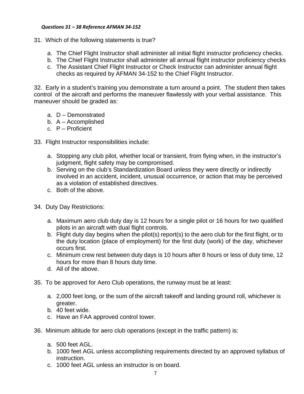#### *Questions 31 – 38 Reference AFMAN 34-152*

- 31. Which of the following statements is true?
	- a. The Chief Flight Instructor shall administer all initial flight instructor proficiency checks.
	- b. The Chief Flight Instructor shall administer all annual flight instructor proficiency checks
	- c. The Assistant Chief Flight Instructor or Check Instructor can administer annual flight checks as required by AFMAN 34-152 to the Chief Flight Instructor.

32. Early in a student's training you demonstrate a turn around a point. The student then takes control of the aircraft and performs the maneuver flawlessly with your verbal assistance. This maneuver should be graded as:

- a. D Demonstrated
- b. A Accomplished
- c. P Proficient
- 33. Flight Instructor responsibilities include:
	- a. Stopping any club pilot, whether local or transient, from flying when, in the instructor's judgment, flight safety may be compromised.
	- b. Serving on the club's Standardization Board unless they were directly or indirectly involved in an accident, incident, unusual occurrence, or action that may be perceived as a violation of established directives.
	- c. Both of the above.
- 34. Duty Day Restrictions:
	- a. Maximum aero club duty day is 12 hours for a single pilot or 16 hours for two qualified pilots in an aircraft with dual flight controls.
	- b. Flight duty day begins when the pilot(s) report(s) to the aero club for the first flight, or to the duty location (place of employment) for the first duty (work) of the day, whichever occurs first.
	- c. Minimum crew rest between duty days is 10 hours after 8 hours or less of duty time, 12 hours for more than 8 hours duty time.
	- d. All of the above.
- 35. To be approved for Aero Club operations, the runway must be at least:
	- a. 2,000 feet long, or the sum of the aircraft takeoff and landing ground roll, whichever is greater.
	- b. 40 feet wide.
	- c. Have an FAA approved control tower.
- 36. Minimum altitude for aero club operations (except in the traffic pattern) is:
	- a. 500 feet AGL.
	- b. 1000 feet AGL unless accomplishing requirements directed by an approved syllabus of instruction.
	- c. 1000 feet AGL unless an instructor is on board.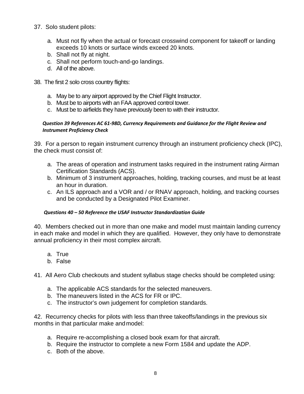- 37. Solo student pilots:
	- a. Must not fly when the actual or forecast crosswind component for takeoff or landing exceeds 10 knots or surface winds exceed 20 knots.
	- b. Shall not fly at night.
	- c. Shall not perform touch-and-go landings.
	- d. All of the above.
- 38. The first 2 solo cross country flights:
	- a. May be to any airport approved by the Chief Flight Instructor.
	- b. Must be to airports with an FAA approved control tower.
	- c. Must be to airfields they have previously been to with their instructor.

#### *Question 39 References AC 61-98D, Currency Requirements and Guidance for the Flight Review and Instrument Proficiency Check*

39. For a person to regain instrument currency through an instrument proficiency check (IPC), the check must consist of:

- a. The areas of operation and instrument tasks required in the instrument rating Airman Certification Standards (ACS).
- b. Minimum of 3 instrument approaches, holding, tracking courses, and must be at least an hour in duration.
- c. An ILS approach and a VOR and / or RNAV approach, holding, and tracking courses and be conducted by a Designated Pilot Examiner.

## *Questions 40 – 50 Reference the USAF Instructor Standardization Guide*

40. Members checked out in more than one make and model must maintain landing currency in each make and model in which they are qualified. However, they only have to demonstrate annual proficiency in their most complex aircraft.

- a. True
- b. False

41. All Aero Club checkouts and student syllabus stage checks should be completed using:

- a. The applicable ACS standards for the selected maneuvers.
- b. The maneuvers listed in the ACS for FR or IPC.
- c. The instructor's own judgement for completion standards.

42. Recurrency checks for pilots with less than three takeoffs/landings in the previous six months in that particular make andmodel:

- a. Require re-accomplishing a closed book exam for that aircraft.
- b. Require the instructor to complete a new Form 1584 and update the ADP.
- c. Both of the above.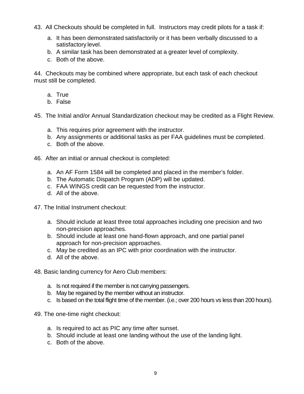- 43. All Checkouts should be completed in full. Instructors may credit pilots for a task if:
	- a. It has been demonstrated satisfactorily or it has been verbally discussed to a satisfactory level.
	- b. A similar task has been demonstrated at a greater level of complexity.
	- c. Both of the above.

44. Checkouts may be combined where appropriate, but each task of each checkout must still be completed.

- a. True
- b. False

45. The Initial and/or Annual Standardization checkout may be credited as a Flight Review.

- a. This requires prior agreement with the instructor.
- b. Any assignments or additional tasks as per FAA guidelines must be completed.
- c. Both of the above.
- 46. After an initial or annual checkout is completed:
	- a. An AF Form 1584 will be completed and placed in the member's folder.
	- b. The Automatic Dispatch Program (ADP) will be updated.
	- c. FAA WINGS credit can be requested from the instructor.
	- d. All of the above.
- 47. The Initial Instrument checkout:
	- a. Should include at least three total approaches including one precision and two non-precision approaches.
	- b. Should include at least one hand-flown approach, and one partial panel approach for non-precision approaches.
	- c. May be credited as an IPC with prior coordination with the instructor.
	- d. All of the above.
- 48. Basic landing currency for Aero Club members:
	- a. Is not required if the member is not carrying passengers.
	- b. May be regained by the member without an instructor.
	- c. Is based on the total flight time of the member. (i.e.; over 200 hours vs less than 200 hours).
- 49. The one-time night checkout:
	- a. Is required to act as PIC any time after sunset.
	- b. Should include at least one landing without the use of the landing light.
	- c. Both of the above.